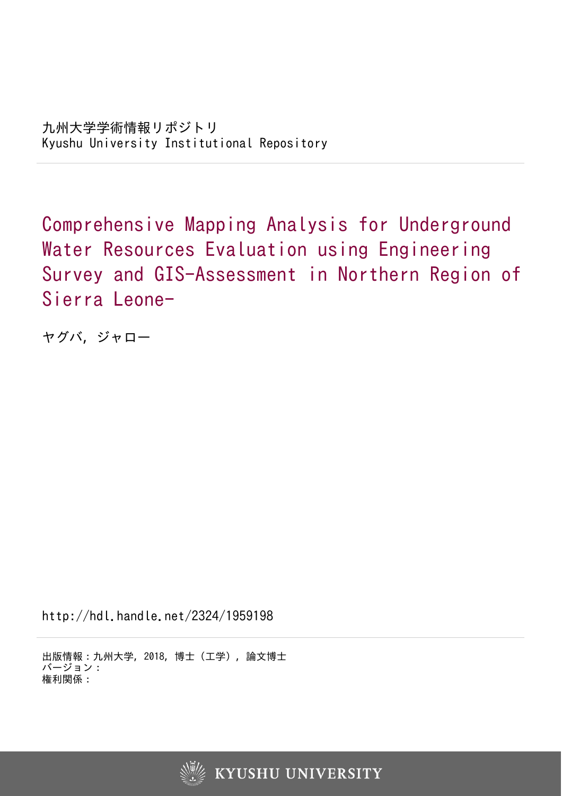Comprehensive Mapping Analysis for Underground Water Resources Evaluation using Engineering Survey and GIS-Assessment in Northern Region of Sierra Leone-

ヤグバ, ジャロー

http://hdl.handle.net/2324/1959198

出版情報:九州大学, 2018, 博士(工学), 論文博士 バージョン: 権利関係:

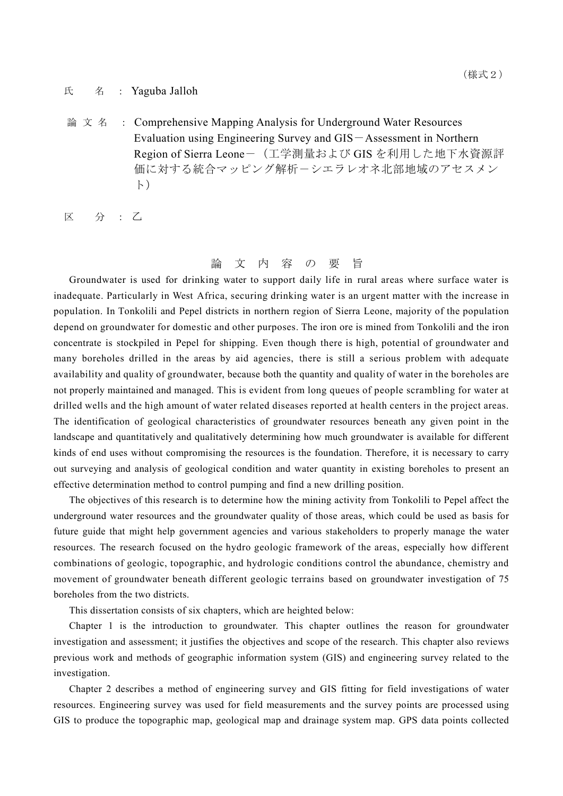## 氏 名: Yaguba Jalloh

 $\hat{m}$  文 名 : Comprehensive Mapping Analysis for Underground Water Resources Evaluation using Engineering Survey and GIS-Assessment in Northern Region of Sierra Leone-(工学測量および GIS を利用した地下水資源評 価に対する統合マッピング解析-シエラレオネ北部地域のアセスメン ト)

区 分 : 乙

## 論 文 内 容 の 要 旨

Groundwater is used for drinking water to support daily life in rural areas where surface water is inadequate. Particularly in West Africa, securing drinking water is an urgent matter with the increase in population. In Tonkolili and Pepel districts in northern region of Sierra Leone, majority of the population depend on groundwater for domestic and other purposes. The iron ore is mined from Tonkolili and the iron concentrate is stockpiled in Pepel for shipping. Even though there is high, potential of groundwater and many boreholes drilled in the areas by aid agencies, there is still a serious problem with adequate availability and quality of groundwater, because both the quantity and quality of water in the boreholes are not properly maintained and managed. This is evident from long queues of people scrambling for water at drilled wells and the high amount of water related diseases reported at health centers in the project areas. The identification of geological characteristics of groundwater resources beneath any given point in the landscape and quantitatively and qualitatively determining how much groundwater is available for different kinds of end uses without compromising the resources is the foundation. Therefore, it is necessary to carry out surveying and analysis of geological condition and water quantity in existing boreholes to present an effective determination method to control pumping and find a new drilling position.

The objectives of this research is to determine how the mining activity from Tonkolili to Pepel affect the underground water resources and the groundwater quality of those areas, which could be used as basis for future guide that might help government agencies and various stakeholders to properly manage the water resources. The research focused on the hydro geologic framework of the areas, especially how different combinations of geologic, topographic, and hydrologic conditions control the abundance, chemistry and movement of groundwater beneath different geologic terrains based on groundwater investigation of 75 boreholes from the two districts.

This dissertation consists of six chapters, which are heighted below:

Chapter 1 is the introduction to groundwater. This chapter outlines the reason for groundwater investigation and assessment; it justifies the objectives and scope of the research. This chapter also reviews previous work and methods of geographic information system (GIS) and engineering survey related to the investigation.

Chapter 2 describes a method of engineering survey and GIS fitting for field investigations of water resources. Engineering survey was used for field measurements and the survey points are processed using GIS to produce the topographic map, geological map and drainage system map. GPS data points collected